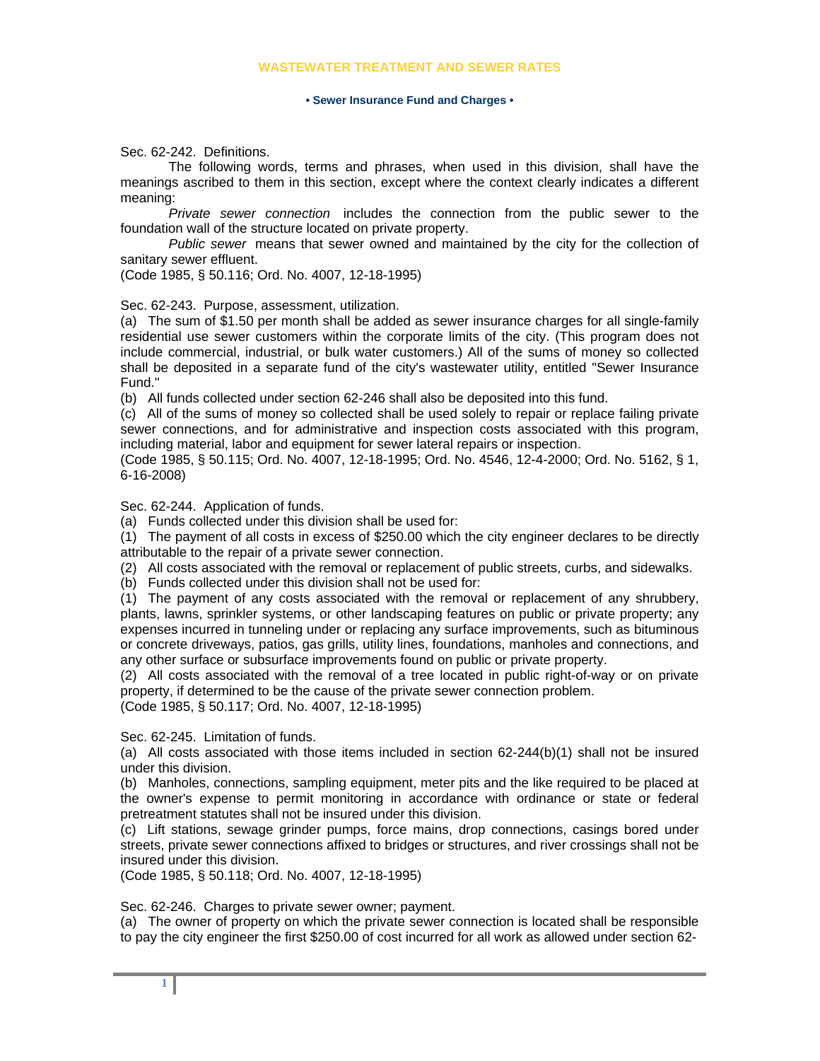## **WASTEWATER TREATMENT AND SEWER RATES**

## **• Sewer Insurance Fund and Charges •**

Sec. 62-242. Definitions.

The following words, terms and phrases, when used in this division, shall have the meanings ascribed to them in this section, except where the context clearly indicates a different meaning:

*Private sewer connection* includes the connection from the public sewer to the foundation wall of the structure located on private property.

*Public sewer* means that sewer owned and maintained by the city for the collection of sanitary sewer effluent.

(Code 1985, § 50.116; Ord. No. 4007, 12-18-1995)

Sec. 62-243. Purpose, assessment, utilization.

(a) The sum of \$1.50 per month shall be added as sewer insurance charges for all single-family residential use sewer customers within the corporate limits of the city. (This program does not include commercial, industrial, or bulk water customers.) All of the sums of money so collected shall be deposited in a separate fund of the city's wastewater utility, entitled "Sewer Insurance Fund."

(b) All funds collected under section 62-246 shall also be deposited into this fund.

(c) All of the sums of money so collected shall be used solely to repair or replace failing private sewer connections, and for administrative and inspection costs associated with this program, including material, labor and equipment for sewer lateral repairs or inspection.

(Code 1985, § 50.115; Ord. No. 4007, 12-18-1995; Ord. No. 4546, 12-4-2000; Ord. No. 5162, § 1, 6-16-2008)

Sec. 62-244. Application of funds.

(a) Funds collected under this division shall be used for:

(1) The payment of all costs in excess of \$250.00 which the city engineer declares to be directly attributable to the repair of a private sewer connection.

(2) All costs associated with the removal or replacement of public streets, curbs, and sidewalks.

(b) Funds collected under this division shall not be used for:

(1) The payment of any costs associated with the removal or replacement of any shrubbery, plants, lawns, sprinkler systems, or other landscaping features on public or private property; any expenses incurred in tunneling under or replacing any surface improvements, such as bituminous or concrete driveways, patios, gas grills, utility lines, foundations, manholes and connections, and any other surface or subsurface improvements found on public or private property.

(2) All costs associated with the removal of a tree located in public right-of-way or on private property, if determined to be the cause of the private sewer connection problem.

(Code 1985, § 50.117; Ord. No. 4007, 12-18-1995)

Sec. 62-245. Limitation of funds.

(a) All costs associated with those items included in section 62-244(b)(1) shall not be insured under this division.

(b) Manholes, connections, sampling equipment, meter pits and the like required to be placed at the owner's expense to permit monitoring in accordance with ordinance or state or federal pretreatment statutes shall not be insured under this division.

(c) Lift stations, sewage grinder pumps, force mains, drop connections, casings bored under streets, private sewer connections affixed to bridges or structures, and river crossings shall not be insured under this division.

(Code 1985, § 50.118; Ord. No. 4007, 12-18-1995)

Sec. 62-246. Charges to private sewer owner; payment.

(a) The owner of property on which the private sewer connection is located shall be responsible to pay the city engineer the first \$250.00 of cost incurred for all work as allowed under section 62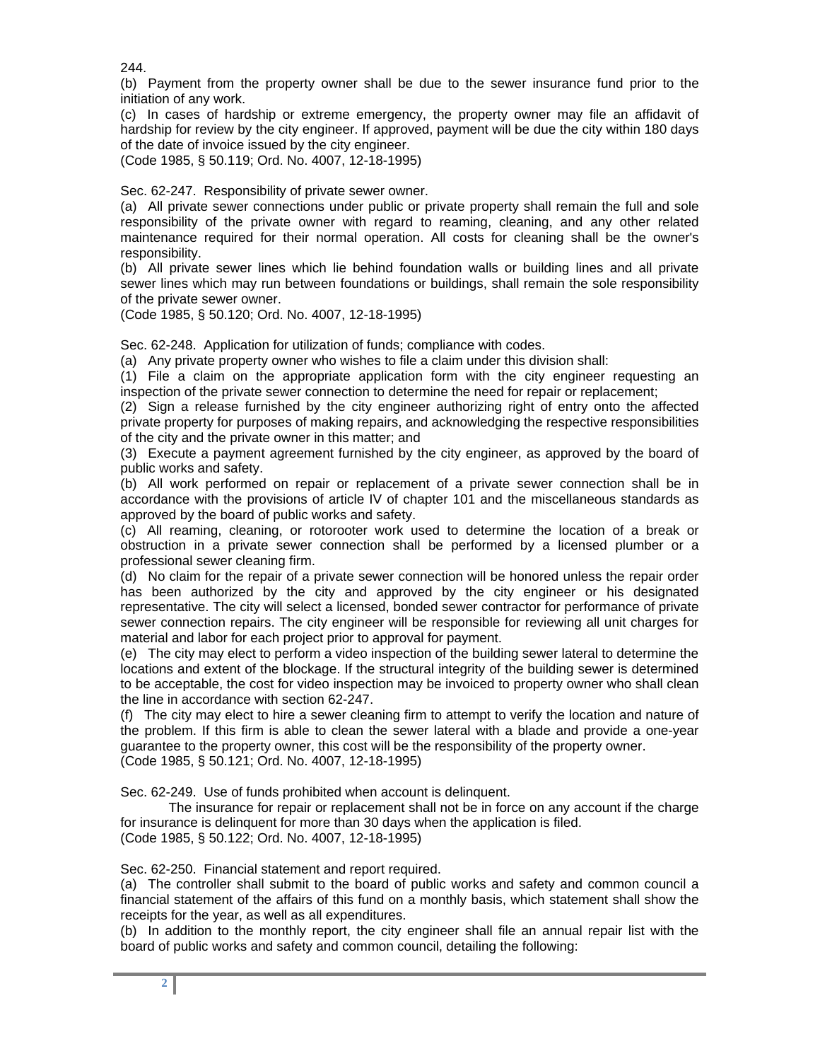244.

(b) Payment from the property owner shall be due to the sewer insurance fund prior to the initiation of any work.

(c) In cases of hardship or extreme emergency, the property owner may file an affidavit of hardship for review by the city engineer. If approved, payment will be due the city within 180 days of the date of invoice issued by the city engineer.

(Code 1985, § 50.119; Ord. No. 4007, 12-18-1995)

Sec. 62-247. Responsibility of private sewer owner.

(a) All private sewer connections under public or private property shall remain the full and sole responsibility of the private owner with regard to reaming, cleaning, and any other related maintenance required for their normal operation. All costs for cleaning shall be the owner's responsibility.

(b) All private sewer lines which lie behind foundation walls or building lines and all private sewer lines which may run between foundations or buildings, shall remain the sole responsibility of the private sewer owner.

(Code 1985, § 50.120; Ord. No. 4007, 12-18-1995)

Sec. 62-248. Application for utilization of funds; compliance with codes.

(a) Any private property owner who wishes to file a claim under this division shall:

(1) File a claim on the appropriate application form with the city engineer requesting an inspection of the private sewer connection to determine the need for repair or replacement;

(2) Sign a release furnished by the city engineer authorizing right of entry onto the affected private property for purposes of making repairs, and acknowledging the respective responsibilities of the city and the private owner in this matter; and

(3) Execute a payment agreement furnished by the city engineer, as approved by the board of public works and safety.

(b) All work performed on repair or replacement of a private sewer connection shall be in accordance with the provisions of article IV of chapter 101 and the miscellaneous standards as approved by the board of public works and safety.

(c) All reaming, cleaning, or rotorooter work used to determine the location of a break or obstruction in a private sewer connection shall be performed by a licensed plumber or a professional sewer cleaning firm.

(d) No claim for the repair of a private sewer connection will be honored unless the repair order has been authorized by the city and approved by the city engineer or his designated representative. The city will select a licensed, bonded sewer contractor for performance of private sewer connection repairs. The city engineer will be responsible for reviewing all unit charges for material and labor for each project prior to approval for payment.

(e) The city may elect to perform a video inspection of the building sewer lateral to determine the locations and extent of the blockage. If the structural integrity of the building sewer is determined to be acceptable, the cost for video inspection may be invoiced to property owner who shall clean the line in accordance with section 62-247.

(f) The city may elect to hire a sewer cleaning firm to attempt to verify the location and nature of the problem. If this firm is able to clean the sewer lateral with a blade and provide a one-year guarantee to the property owner, this cost will be the responsibility of the property owner. (Code 1985, § 50.121; Ord. No. 4007, 12-18-1995)

Sec. 62-249. Use of funds prohibited when account is delinquent.

The insurance for repair or replacement shall not be in force on any account if the charge for insurance is delinquent for more than 30 days when the application is filed. (Code 1985, § 50.122; Ord. No. 4007, 12-18-1995)

Sec. 62-250. Financial statement and report required.

(a) The controller shall submit to the board of public works and safety and common council a financial statement of the affairs of this fund on a monthly basis, which statement shall show the receipts for the year, as well as all expenditures.

(b) In addition to the monthly report, the city engineer shall file an annual repair list with the board of public works and safety and common council, detailing the following: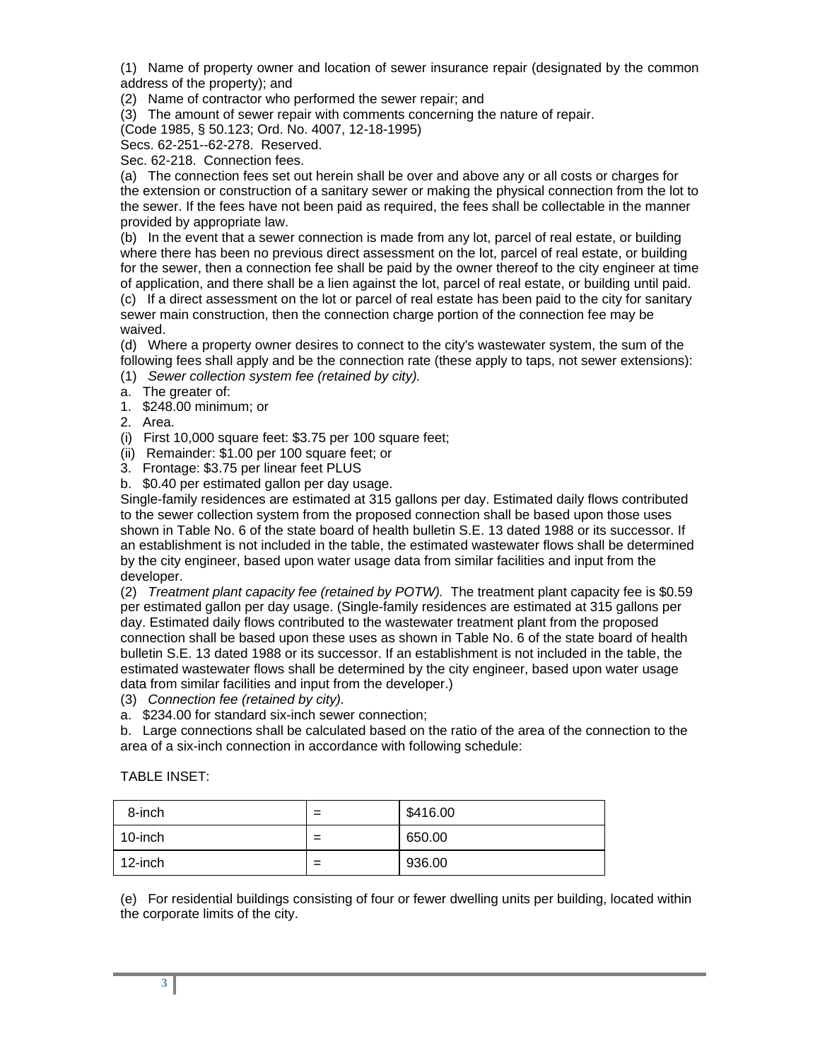(1) Name of property owner and location of sewer insurance repair (designated by the common address of the property); and

(2) Name of contractor who performed the sewer repair; and

(3) The amount of sewer repair with comments concerning the nature of repair.

(Code 1985, § 50.123; Ord. No. 4007, 12-18-1995)

Secs. 62-251--62-278. Reserved.

Sec. 62-218. Connection fees.

(a) The connection fees set out herein shall be over and above any or all costs or charges for the extension or construction of a sanitary sewer or making the physical connection from the lot to the sewer. If the fees have not been paid as required, the fees shall be collectable in the manner provided by appropriate law.

(b) In the event that a sewer connection is made from any lot, parcel of real estate, or building where there has been no previous direct assessment on the lot, parcel of real estate, or building for the sewer, then a connection fee shall be paid by the owner thereof to the city engineer at time of application, and there shall be a lien against the lot, parcel of real estate, or building until paid.

(c) If a direct assessment on the lot or parcel of real estate has been paid to the city for sanitary sewer main construction, then the connection charge portion of the connection fee may be waived.

(d) Where a property owner desires to connect to the city's wastewater system, the sum of the following fees shall apply and be the connection rate (these apply to taps, not sewer extensions):

(1) *Sewer collection system fee (retained by city).*

- a. The greater of:
- 1. \$248.00 minimum; or

2. Area.

(i) First 10,000 square feet: \$3.75 per 100 square feet;

(ii) Remainder: \$1.00 per 100 square feet; or

3. Frontage: \$3.75 per linear feet PLUS

b. \$0.40 per estimated gallon per day usage.

Single-family residences are estimated at 315 gallons per day. Estimated daily flows contributed to the sewer collection system from the proposed connection shall be based upon those uses shown in Table No. 6 of the state board of health bulletin S.E. 13 dated 1988 or its successor. If an establishment is not included in the table, the estimated wastewater flows shall be determined by the city engineer, based upon water usage data from similar facilities and input from the developer.

(2) *Treatment plant capacity fee (retained by POTW).* The treatment plant capacity fee is \$0.59 per estimated gallon per day usage. (Single-family residences are estimated at 315 gallons per day. Estimated daily flows contributed to the wastewater treatment plant from the proposed connection shall be based upon these uses as shown in Table No. 6 of the state board of health bulletin S.E. 13 dated 1988 or its successor. If an establishment is not included in the table, the estimated wastewater flows shall be determined by the city engineer, based upon water usage data from similar facilities and input from the developer.)

(3) *Connection fee (retained by city).*

a. \$234.00 for standard six-inch sewer connection;

b. Large connections shall be calculated based on the ratio of the area of the connection to the area of a six-inch connection in accordance with following schedule:

| 8-inch  | $=$ | \$416.00 |
|---------|-----|----------|
| 10-inch | $=$ | 650.00   |
| 12-inch | $=$ | 936.00   |

TABLE INSET:

(e) For residential buildings consisting of four or fewer dwelling units per building, located within the corporate limits of the city.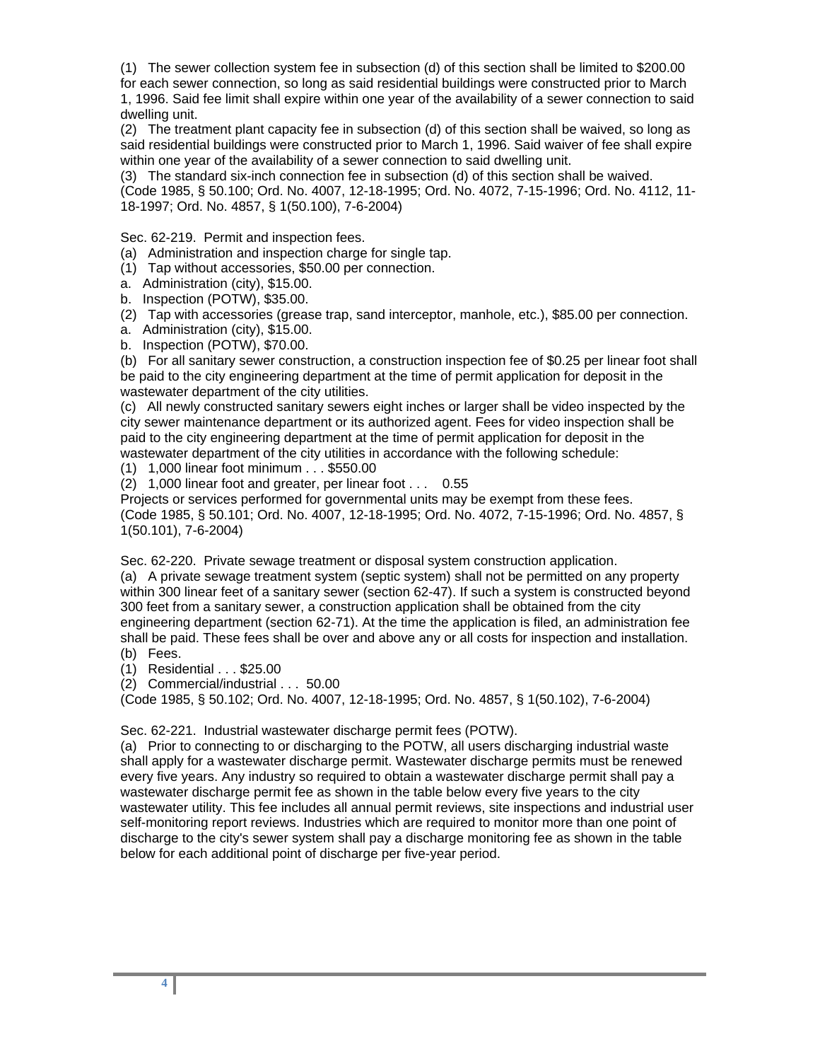(1) The sewer collection system fee in subsection (d) of this section shall be limited to \$200.00

for each sewer connection, so long as said residential buildings were constructed prior to March 1, 1996. Said fee limit shall expire within one year of the availability of a sewer connection to said dwelling unit.

(2) The treatment plant capacity fee in subsection (d) of this section shall be waived, so long as said residential buildings were constructed prior to March 1, 1996. Said waiver of fee shall expire within one year of the availability of a sewer connection to said dwelling unit.

(3) The standard six-inch connection fee in subsection (d) of this section shall be waived.

(Code 1985, § 50.100; Ord. No. 4007, 12-18-1995; Ord. No. 4072, 7-15-1996; Ord. No. 4112, 11- 18-1997; Ord. No. 4857, § 1(50.100), 7-6-2004)

Sec. 62-219. Permit and inspection fees.

(a) Administration and inspection charge for single tap.

(1) Tap without accessories, \$50.00 per connection.

a. Administration (city), \$15.00.

b. Inspection (POTW), \$35.00.

(2) Tap with accessories (grease trap, sand interceptor, manhole, etc.), \$85.00 per connection.

a. Administration (city), \$15.00.

b. Inspection (POTW), \$70.00.

(b) For all sanitary sewer construction, a construction inspection fee of \$0.25 per linear foot shall be paid to the city engineering department at the time of permit application for deposit in the wastewater department of the city utilities.

(c) All newly constructed sanitary sewers eight inches or larger shall be video inspected by the city sewer maintenance department or its authorized agent. Fees for video inspection shall be paid to the city engineering department at the time of permit application for deposit in the wastewater department of the city utilities in accordance with the following schedule:

(1) 1,000 linear foot minimum . . . \$550.00

(2) 1,000 linear foot and greater, per linear foot . . . 0.55

Projects or services performed for governmental units may be exempt from these fees. (Code 1985, § 50.101; Ord. No. 4007, 12-18-1995; Ord. No. 4072, 7-15-1996; Ord. No. 4857, § 1(50.101), 7-6-2004)

Sec. 62-220. Private sewage treatment or disposal system construction application.

(a) A private sewage treatment system (septic system) shall not be permitted on any property within 300 linear feet of a sanitary sewer (section 62-47). If such a system is constructed beyond 300 feet from a sanitary sewer, a construction application shall be obtained from the city engineering department (section 62-71). At the time the application is filed, an administration fee shall be paid. These fees shall be over and above any or all costs for inspection and installation. (b) Fees.

(1) Residential . . . \$25.00

(2) Commercial/industrial . . . 50.00

(Code 1985, § 50.102; Ord. No. 4007, 12-18-1995; Ord. No. 4857, § 1(50.102), 7-6-2004)

Sec. 62-221. Industrial wastewater discharge permit fees (POTW).

(a) Prior to connecting to or discharging to the POTW, all users discharging industrial waste shall apply for a wastewater discharge permit. Wastewater discharge permits must be renewed every five years. Any industry so required to obtain a wastewater discharge permit shall pay a wastewater discharge permit fee as shown in the table below every five years to the city wastewater utility. This fee includes all annual permit reviews, site inspections and industrial user self-monitoring report reviews. Industries which are required to monitor more than one point of discharge to the city's sewer system shall pay a discharge monitoring fee as shown in the table below for each additional point of discharge per five-year period.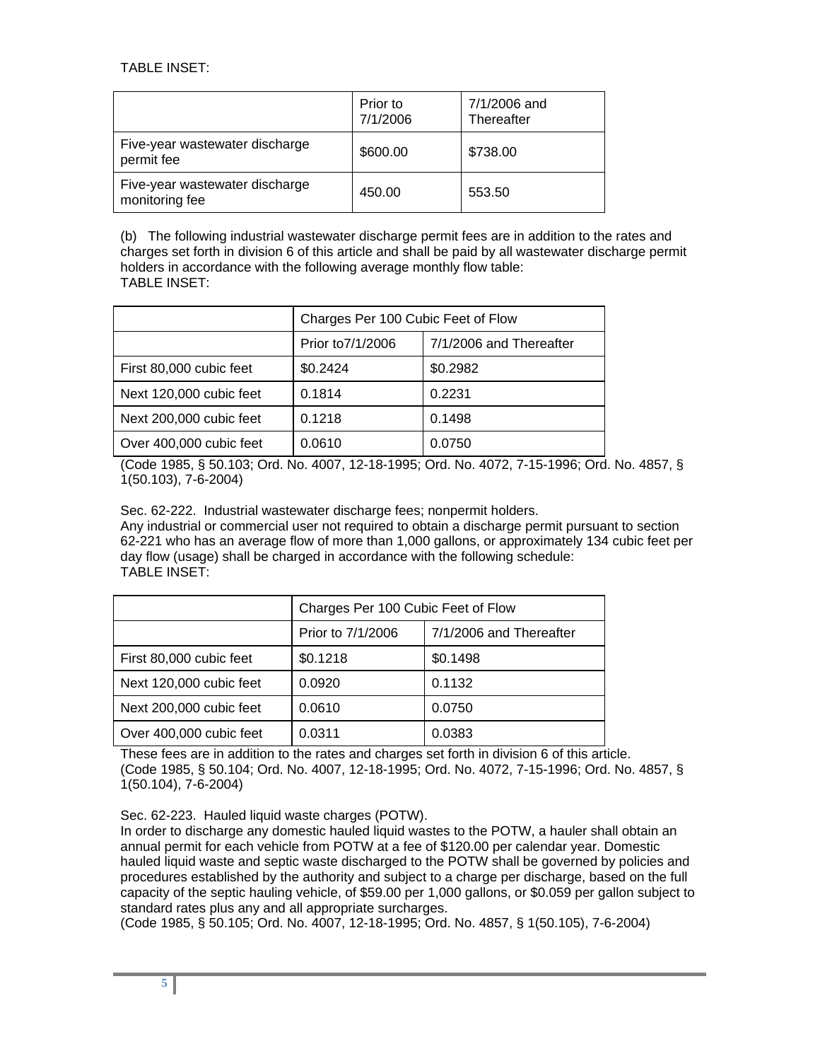TABLE INSET:

|                                                  | Prior to<br>7/1/2006 | 7/1/2006 and<br>Thereafter |
|--------------------------------------------------|----------------------|----------------------------|
| Five-year wastewater discharge<br>permit fee     | \$600.00             | \$738.00                   |
| Five-year wastewater discharge<br>monitoring fee | 450.00               | 553.50                     |

(b) The following industrial wastewater discharge permit fees are in addition to the rates and charges set forth in division 6 of this article and shall be paid by all wastewater discharge permit holders in accordance with the following average monthly flow table: TABLE INSET:

|                         | Charges Per 100 Cubic Feet of Flow |                         |  |
|-------------------------|------------------------------------|-------------------------|--|
|                         | Prior to 7/1/2006                  | 7/1/2006 and Thereafter |  |
| First 80,000 cubic feet | \$0.2424                           | \$0.2982                |  |
| Next 120,000 cubic feet | 0.1814                             | 0.2231                  |  |
| Next 200,000 cubic feet | 0.1218                             | 0.1498                  |  |
| Over 400,000 cubic feet | 0.0610                             | 0.0750                  |  |

(Code 1985, § 50.103; Ord. No. 4007, 12-18-1995; Ord. No. 4072, 7-15-1996; Ord. No. 4857, § 1(50.103), 7-6-2004)

Sec. 62-222. Industrial wastewater discharge fees; nonpermit holders.

Any industrial or commercial user not required to obtain a discharge permit pursuant to section 62-221 who has an average flow of more than 1,000 gallons, or approximately 134 cubic feet per day flow (usage) shall be charged in accordance with the following schedule: TABLE INSET:

|                         | Charges Per 100 Cubic Feet of Flow |                         |  |
|-------------------------|------------------------------------|-------------------------|--|
|                         | Prior to 7/1/2006                  | 7/1/2006 and Thereafter |  |
| First 80,000 cubic feet | \$0.1218                           | \$0.1498                |  |
| Next 120,000 cubic feet | 0.0920                             | 0.1132                  |  |
| Next 200,000 cubic feet | 0.0610                             | 0.0750                  |  |
| Over 400,000 cubic feet | 0.0311                             | 0.0383                  |  |

These fees are in addition to the rates and charges set forth in division 6 of this article. (Code 1985, § 50.104; Ord. No. 4007, 12-18-1995; Ord. No. 4072, 7-15-1996; Ord. No. 4857, § 1(50.104), 7-6-2004)

Sec. 62-223. Hauled liquid waste charges (POTW).

In order to discharge any domestic hauled liquid wastes to the POTW, a hauler shall obtain an annual permit for each vehicle from POTW at a fee of \$120.00 per calendar year. Domestic hauled liquid waste and septic waste discharged to the POTW shall be governed by policies and procedures established by the authority and subject to a charge per discharge, based on the full capacity of the septic hauling vehicle, of \$59.00 per 1,000 gallons, or \$0.059 per gallon subject to standard rates plus any and all appropriate surcharges.

(Code 1985, § 50.105; Ord. No. 4007, 12-18-1995; Ord. No. 4857, § 1(50.105), 7-6-2004)